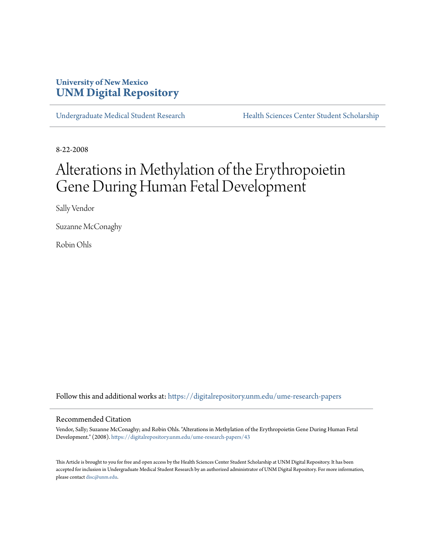### **University of New Mexico [UNM Digital Repository](https://digitalrepository.unm.edu?utm_source=digitalrepository.unm.edu%2Fume-research-papers%2F43&utm_medium=PDF&utm_campaign=PDFCoverPages)**

[Undergraduate Medical Student Research](https://digitalrepository.unm.edu/ume-research-papers?utm_source=digitalrepository.unm.edu%2Fume-research-papers%2F43&utm_medium=PDF&utm_campaign=PDFCoverPages) [Health Sciences Center Student Scholarship](https://digitalrepository.unm.edu/hsc-students?utm_source=digitalrepository.unm.edu%2Fume-research-papers%2F43&utm_medium=PDF&utm_campaign=PDFCoverPages)

8-22-2008

# Alterations in Methylation of the Erythropoietin Gene During Human Fetal Development

Sally Vendor

Suzanne McConaghy

Robin Ohls

Follow this and additional works at: [https://digitalrepository.unm.edu/ume-research-papers](https://digitalrepository.unm.edu/ume-research-papers?utm_source=digitalrepository.unm.edu%2Fume-research-papers%2F43&utm_medium=PDF&utm_campaign=PDFCoverPages)

#### Recommended Citation

Vendor, Sally; Suzanne McConaghy; and Robin Ohls. "Alterations in Methylation of the Erythropoietin Gene During Human Fetal Development." (2008). [https://digitalrepository.unm.edu/ume-research-papers/43](https://digitalrepository.unm.edu/ume-research-papers/43?utm_source=digitalrepository.unm.edu%2Fume-research-papers%2F43&utm_medium=PDF&utm_campaign=PDFCoverPages)

This Article is brought to you for free and open access by the Health Sciences Center Student Scholarship at UNM Digital Repository. It has been accepted for inclusion in Undergraduate Medical Student Research by an authorized administrator of UNM Digital Repository. For more information, please contact [disc@unm.edu.](mailto:disc@unm.edu)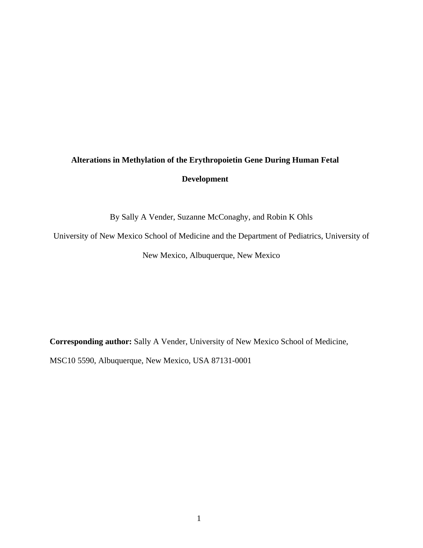## **Alterations in Methylation of the Erythropoietin Gene During Human Fetal Development**

By Sally A Vender, Suzanne McConaghy, and Robin K Ohls

University of New Mexico School of Medicine and the Department of Pediatrics, University of

New Mexico, Albuquerque, New Mexico

**Corresponding author:** Sally A Vender, University of New Mexico School of Medicine,

MSC10 5590, Albuquerque, New Mexico, USA 87131-0001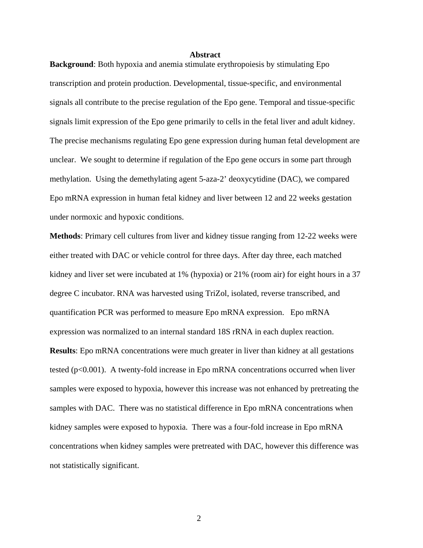#### **Abstract**

**Background**: Both hypoxia and anemia stimulate erythropoiesis by stimulating Epo transcription and protein production. Developmental, tissue-specific, and environmental signals all contribute to the precise regulation of the Epo gene. Temporal and tissue-specific signals limit expression of the Epo gene primarily to cells in the fetal liver and adult kidney. The precise mechanisms regulating Epo gene expression during human fetal development are unclear. We sought to determine if regulation of the Epo gene occurs in some part through methylation. Using the demethylating agent 5-aza-2' deoxycytidine (DAC), we compared Epo mRNA expression in human fetal kidney and liver between 12 and 22 weeks gestation under normoxic and hypoxic conditions.

**Methods**: Primary cell cultures from liver and kidney tissue ranging from 12-22 weeks were either treated with DAC or vehicle control for three days. After day three, each matched kidney and liver set were incubated at 1% (hypoxia) or 21% (room air) for eight hours in a 37 degree C incubator. RNA was harvested using TriZol, isolated, reverse transcribed, and quantification PCR was performed to measure Epo mRNA expression. Epo mRNA expression was normalized to an internal standard 18S rRNA in each duplex reaction.

**Results**: Epo mRNA concentrations were much greater in liver than kidney at all gestations tested ( $p<0.001$ ). A twenty-fold increase in Epo mRNA concentrations occurred when liver samples were exposed to hypoxia, however this increase was not enhanced by pretreating the samples with DAC. There was no statistical difference in Epo mRNA concentrations when kidney samples were exposed to hypoxia. There was a four-fold increase in Epo mRNA concentrations when kidney samples were pretreated with DAC, however this difference was not statistically significant.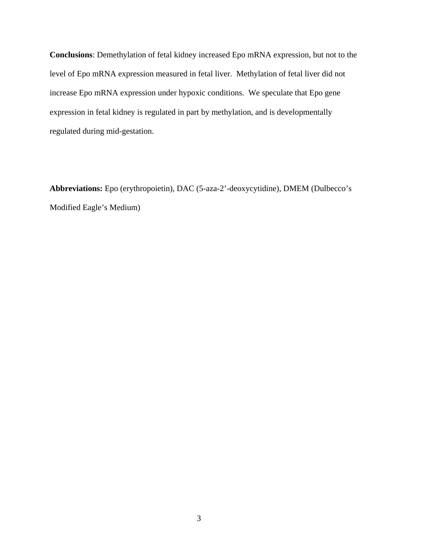**Conclusions**: Demethylation of fetal kidney increased Epo mRNA expression, but not to the level of Epo mRNA expression measured in fetal liver. Methylation of fetal liver did not increase Epo mRNA expression under hypoxic conditions. We speculate that Epo gene expression in fetal kidney is regulated in part by methylation, and is developmentally regulated during mid-gestation.

**Abbreviations:** Epo (erythropoietin), DAC (5-aza-2'-deoxycytidine), DMEM (Dulbecco's Modified Eagle's Medium)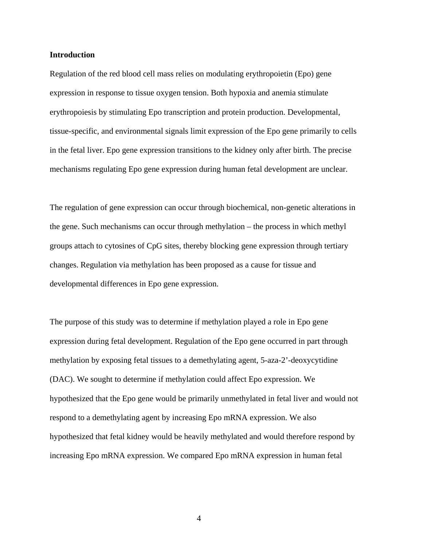#### **Introduction**

Regulation of the red blood cell mass relies on modulating erythropoietin (Epo) gene expression in response to tissue oxygen tension. Both hypoxia and anemia stimulate erythropoiesis by stimulating Epo transcription and protein production. Developmental, tissue-specific, and environmental signals limit expression of the Epo gene primarily to cells in the fetal liver. Epo gene expression transitions to the kidney only after birth. The precise mechanisms regulating Epo gene expression during human fetal development are unclear.

The regulation of gene expression can occur through biochemical, non-genetic alterations in the gene. Such mechanisms can occur through methylation – the process in which methyl groups attach to cytosines of CpG sites, thereby blocking gene expression through tertiary changes. Regulation via methylation has been proposed as a cause for tissue and developmental differences in Epo gene expression.

The purpose of this study was to determine if methylation played a role in Epo gene expression during fetal development. Regulation of the Epo gene occurred in part through methylation by exposing fetal tissues to a demethylating agent, 5-aza-2'-deoxycytidine (DAC). We sought to determine if methylation could affect Epo expression. We hypothesized that the Epo gene would be primarily unmethylated in fetal liver and would not respond to a demethylating agent by increasing Epo mRNA expression. We also hypothesized that fetal kidney would be heavily methylated and would therefore respond by increasing Epo mRNA expression. We compared Epo mRNA expression in human fetal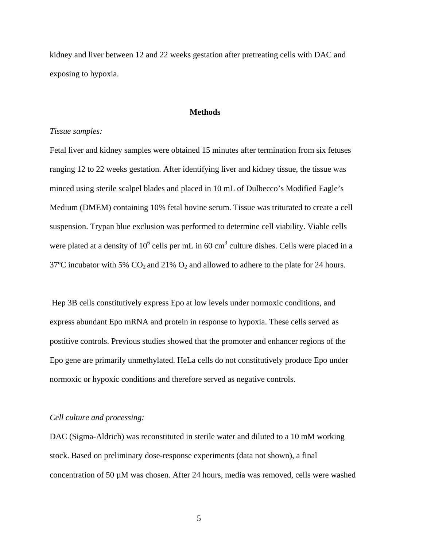kidney and liver between 12 and 22 weeks gestation after pretreating cells with DAC and exposing to hypoxia.

#### **Methods**

#### *Tissue samples:*

Fetal liver and kidney samples were obtained 15 minutes after termination from six fetuses ranging 12 to 22 weeks gestation. After identifying liver and kidney tissue, the tissue was minced using sterile scalpel blades and placed in 10 mL of Dulbecco's Modified Eagle's Medium (DMEM) containing 10% fetal bovine serum. Tissue was triturated to create a cell suspension. Trypan blue exclusion was performed to determine cell viability. Viable cells were plated at a density of  $10^6$  cells per mL in 60 cm<sup>3</sup> culture dishes. Cells were placed in a 37°C incubator with 5%  $CO_2$  and 21%  $O_2$  and allowed to adhere to the plate for 24 hours.

 Hep 3B cells constitutively express Epo at low levels under normoxic conditions, and express abundant Epo mRNA and protein in response to hypoxia. These cells served as postitive controls. Previous studies showed that the promoter and enhancer regions of the Epo gene are primarily unmethylated. HeLa cells do not constitutively produce Epo under normoxic or hypoxic conditions and therefore served as negative controls.

#### *Cell culture and processing:*

DAC (Sigma-Aldrich) was reconstituted in sterile water and diluted to a 10 mM working stock. Based on preliminary dose-response experiments (data not shown), a final concentration of 50 µM was chosen. After 24 hours, media was removed, cells were washed

 $\overline{5}$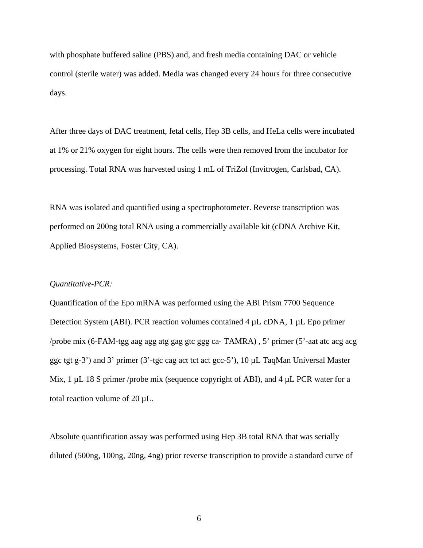with phosphate buffered saline (PBS) and, and fresh media containing DAC or vehicle control (sterile water) was added. Media was changed every 24 hours for three consecutive days.

After three days of DAC treatment, fetal cells, Hep 3B cells, and HeLa cells were incubated at 1% or 21% oxygen for eight hours. The cells were then removed from the incubator for processing. Total RNA was harvested using 1 mL of TriZol (Invitrogen, Carlsbad, CA).

RNA was isolated and quantified using a spectrophotometer. Reverse transcription was performed on 200ng total RNA using a commercially available kit (cDNA Archive Kit, Applied Biosystems, Foster City, CA).

#### *Quantitative-PCR:*

Quantification of the Epo mRNA was performed using the ABI Prism 7700 Sequence Detection System (ABI). PCR reaction volumes contained 4 µL cDNA, 1 µL Epo primer /probe mix (6-FAM-tgg aag agg atg gag gtc ggg ca- TAMRA) , 5' primer (5'-aat atc acg acg ggc tgt g-3') and 3' primer (3'-tgc cag act tct act gcc-5'), 10 µL TaqMan Universal Master Mix,  $1 \mu L$  18 S primer /probe mix (sequence copyright of ABI), and  $4 \mu L$  PCR water for a total reaction volume of 20 µL.

Absolute quantification assay was performed using Hep 3B total RNA that was serially diluted (500ng, 100ng, 20ng, 4ng) prior reverse transcription to provide a standard curve of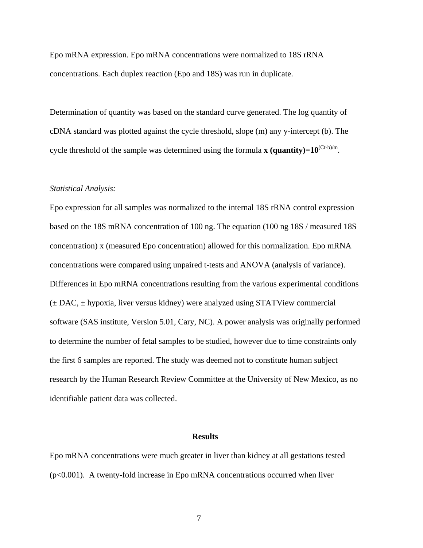Epo mRNA expression. Epo mRNA concentrations were normalized to 18S rRNA concentrations. Each duplex reaction (Epo and 18S) was run in duplicate.

Determination of quantity was based on the standard curve generated. The log quantity of cDNA standard was plotted against the cycle threshold, slope (m) any y-intercept (b). The cycle threshold of the sample was determined using the formula **x** (quantity)= $10^{(Ct-b)/m}$ .

#### *Statistical Analysis:*

Epo expression for all samples was normalized to the internal 18S rRNA control expression based on the 18S mRNA concentration of 100 ng. The equation (100 ng 18S / measured 18S concentration) x (measured Epo concentration) allowed for this normalization. Epo mRNA concentrations were compared using unpaired t-tests and ANOVA (analysis of variance). Differences in Epo mRNA concentrations resulting from the various experimental conditions (± DAC, ± hypoxia, liver versus kidney) were analyzed using STATView commercial software (SAS institute, Version 5.01, Cary, NC). A power analysis was originally performed to determine the number of fetal samples to be studied, however due to time constraints only the first 6 samples are reported. The study was deemed not to constitute human subject research by the Human Research Review Committee at the University of New Mexico, as no identifiable patient data was collected.

#### **Results**

Epo mRNA concentrations were much greater in liver than kidney at all gestations tested (p<0.001). A twenty-fold increase in Epo mRNA concentrations occurred when liver

7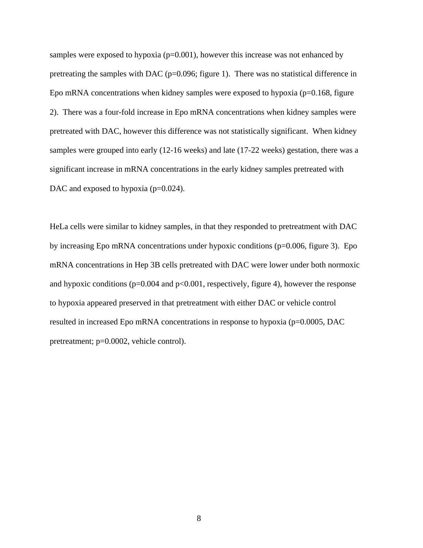samples were exposed to hypoxia  $(p=0.001)$ , however this increase was not enhanced by pretreating the samples with DAC ( $p=0.096$ ; figure 1). There was no statistical difference in Epo mRNA concentrations when kidney samples were exposed to hypoxia ( $p=0.168$ , figure 2). There was a four-fold increase in Epo mRNA concentrations when kidney samples were pretreated with DAC, however this difference was not statistically significant. When kidney samples were grouped into early (12-16 weeks) and late (17-22 weeks) gestation, there was a significant increase in mRNA concentrations in the early kidney samples pretreated with DAC and exposed to hypoxia (p=0.024).

HeLa cells were similar to kidney samples, in that they responded to pretreatment with DAC by increasing Epo mRNA concentrations under hypoxic conditions (p=0.006, figure 3). Epo mRNA concentrations in Hep 3B cells pretreated with DAC were lower under both normoxic and hypoxic conditions ( $p=0.004$  and  $p<0.001$ , respectively, figure 4), however the response to hypoxia appeared preserved in that pretreatment with either DAC or vehicle control resulted in increased Epo mRNA concentrations in response to hypoxia (p=0.0005, DAC pretreatment; p=0.0002, vehicle control).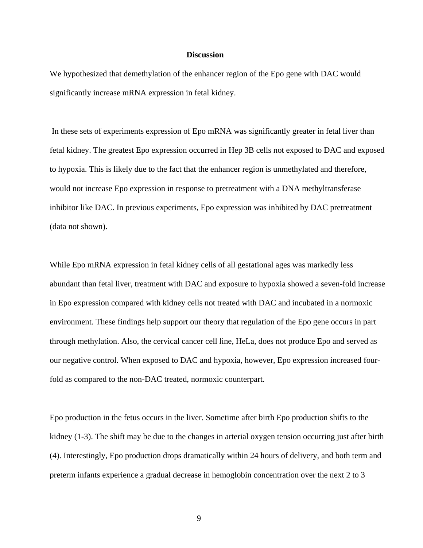#### **Discussion**

We hypothesized that demethylation of the enhancer region of the Epo gene with DAC would significantly increase mRNA expression in fetal kidney.

 In these sets of experiments expression of Epo mRNA was significantly greater in fetal liver than fetal kidney. The greatest Epo expression occurred in Hep 3B cells not exposed to DAC and exposed to hypoxia. This is likely due to the fact that the enhancer region is unmethylated and therefore, would not increase Epo expression in response to pretreatment with a DNA methyltransferase inhibitor like DAC. In previous experiments, Epo expression was inhibited by DAC pretreatment (data not shown).

While Epo mRNA expression in fetal kidney cells of all gestational ages was markedly less abundant than fetal liver, treatment with DAC and exposure to hypoxia showed a seven-fold increase in Epo expression compared with kidney cells not treated with DAC and incubated in a normoxic environment. These findings help support our theory that regulation of the Epo gene occurs in part through methylation. Also, the cervical cancer cell line, HeLa, does not produce Epo and served as our negative control. When exposed to DAC and hypoxia, however, Epo expression increased fourfold as compared to the non-DAC treated, normoxic counterpart.

Epo production in the fetus occurs in the liver. Sometime after birth Epo production shifts to the kidney (1-3). The shift may be due to the changes in arterial oxygen tension occurring just after birth (4). Interestingly, Epo production drops dramatically within 24 hours of delivery, and both term and preterm infants experience a gradual decrease in hemoglobin concentration over the next 2 to 3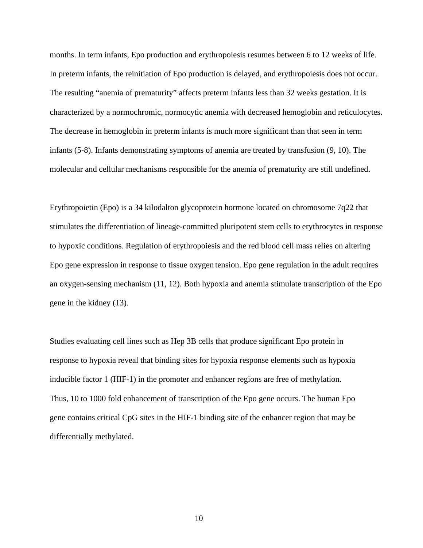months. In term infants, Epo production and erythropoiesis resumes between 6 to 12 weeks of life. In preterm infants, the reinitiation of Epo production is delayed, and erythropoiesis does not occur. The resulting "anemia of prematurity" affects preterm infants less than 32 weeks gestation. It is characterized by a normochromic, normocytic anemia with decreased hemoglobin and reticulocytes. The decrease in hemoglobin in preterm infants is much more significant than that seen in term infants (5-8). Infants demonstrating symptoms of anemia are treated by transfusion (9, 10). The molecular and cellular mechanisms responsible for the anemia of prematurity are still undefined.

Erythropoietin (Epo) is a 34 kilodalton glycoprotein hormone located on chromosome 7q22 that stimulates the differentiation of lineage-committed pluripotent stem cells to erythrocytes in response to hypoxic conditions. Regulation of erythropoiesis and the red blood cell mass relies on altering Epo gene expression in response to tissue oxygen tension. Epo gene regulation in the adult requires an oxygen-sensing mechanism (11, 12). Both hypoxia and anemia stimulate transcription of the Epo gene in the kidney (13).

Studies evaluating cell lines such as Hep 3B cells that produce significant Epo protein in response to hypoxia reveal that binding sites for hypoxia response elements such as hypoxia inducible factor 1 (HIF-1) in the promoter and enhancer regions are free of methylation. Thus, 10 to 1000 fold enhancement of transcription of the Epo gene occurs. The human Epo gene contains critical CpG sites in the HIF-1 binding site of the enhancer region that may be differentially methylated.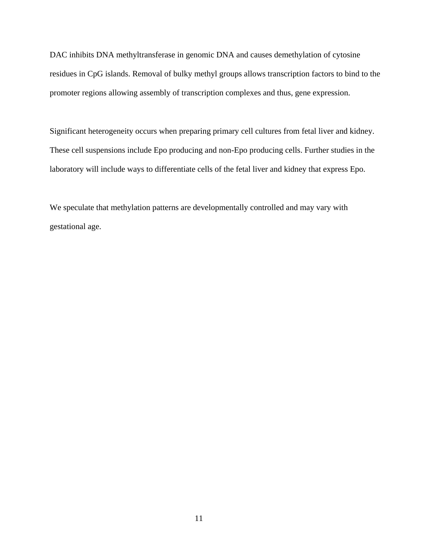DAC inhibits DNA methyltransferase in genomic DNA and causes demethylation of cytosine residues in CpG islands. Removal of bulky methyl groups allows transcription factors to bind to the promoter regions allowing assembly of transcription complexes and thus, gene expression.

Significant heterogeneity occurs when preparing primary cell cultures from fetal liver and kidney. These cell suspensions include Epo producing and non-Epo producing cells. Further studies in the laboratory will include ways to differentiate cells of the fetal liver and kidney that express Epo.

We speculate that methylation patterns are developmentally controlled and may vary with gestational age.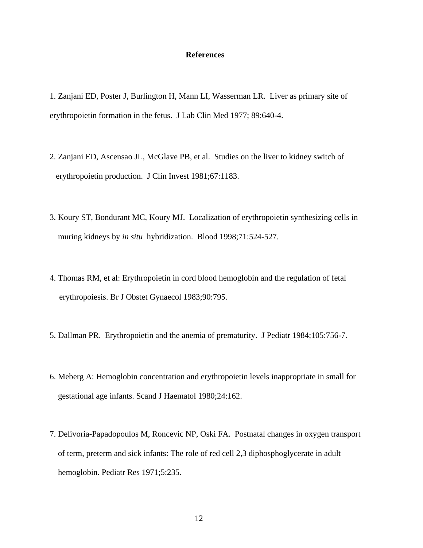#### **References**

- 1. Zanjani ED, Poster J, Burlington H, Mann LI, Wasserman LR. Liver as primary site of erythropoietin formation in the fetus. J Lab Clin Med 1977; 89:640-4.
- 2. Zanjani ED, Ascensao JL, McGlave PB, et al. Studies on the liver to kidney switch of erythropoietin production. J Clin Invest 1981;67:1183.
- 3. Koury ST, Bondurant MC, Koury MJ. Localization of erythropoietin synthesizing cells in muring kidneys by *in situ* hybridization. Blood 1998;71:524-527.
- 4. Thomas RM, et al: Erythropoietin in cord blood hemoglobin and the regulation of fetal erythropoiesis. Br J Obstet Gynaecol 1983;90:795.
- 5. Dallman PR. Erythropoietin and the anemia of prematurity. J Pediatr 1984;105:756-7.
- 6. Meberg A: Hemoglobin concentration and erythropoietin levels inappropriate in small for gestational age infants. Scand J Haematol 1980;24:162.
- 7. Delivoria-Papadopoulos M, Roncevic NP, Oski FA. Postnatal changes in oxygen transport of term, preterm and sick infants: The role of red cell 2,3 diphosphoglycerate in adult hemoglobin. Pediatr Res 1971;5:235.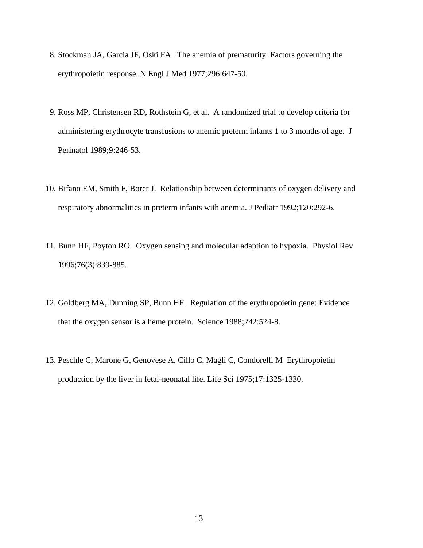- 8. Stockman JA, Garcia JF, Oski FA. The anemia of prematurity: Factors governing the erythropoietin response. N Engl J Med 1977;296:647-50.
- 9. Ross MP, Christensen RD, Rothstein G, et al. A randomized trial to develop criteria for administering erythrocyte transfusions to anemic preterm infants 1 to 3 months of age. J Perinatol 1989;9:246-53.
- 10. Bifano EM, Smith F, Borer J. Relationship between determinants of oxygen delivery and respiratory abnormalities in preterm infants with anemia. J Pediatr 1992;120:292-6.
- 11. Bunn HF, Poyton RO. Oxygen sensing and molecular adaption to hypoxia. Physiol Rev 1996;76(3):839-885.
- 12. Goldberg MA, Dunning SP, Bunn HF. Regulation of the erythropoietin gene: Evidence that the oxygen sensor is a heme protein. Science 1988;242:524-8.
- 13. Peschle C, Marone G, Genovese A, Cillo C, Magli C, Condorelli M Erythropoietin production by the liver in fetal-neonatal life. Life Sci 1975;17:1325-1330.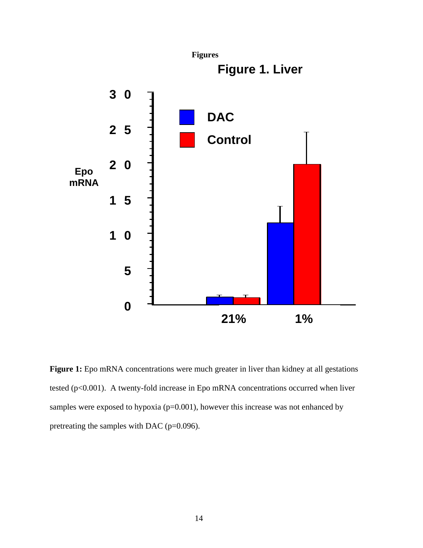

Figure 1: Epo mRNA concentrations were much greater in liver than kidney at all gestations tested (p<0.001). A twenty-fold increase in Epo mRNA concentrations occurred when liver samples were exposed to hypoxia (p=0.001), however this increase was not enhanced by pretreating the samples with DAC (p=0.096).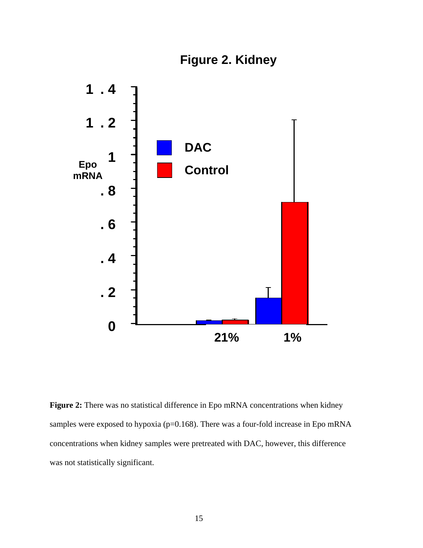



Figure 2: There was no statistical difference in Epo mRNA concentrations when kidney samples were exposed to hypoxia (p=0.168). There was a four-fold increase in Epo mRNA concentrations when kidney samples were pretreated with DAC, however, this difference was not statistically significant.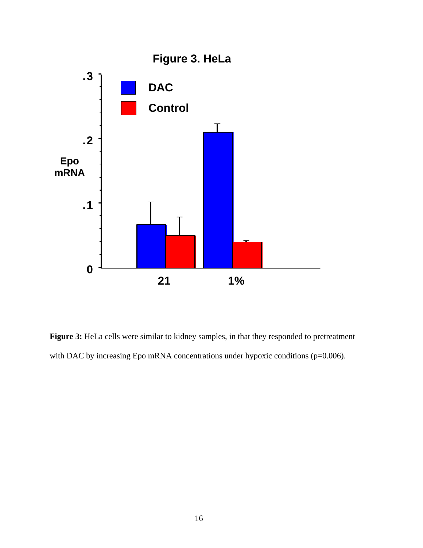

Figure 3: HeLa cells were similar to kidney samples, in that they responded to pretreatment with DAC by increasing Epo mRNA concentrations under hypoxic conditions (p=0.006).